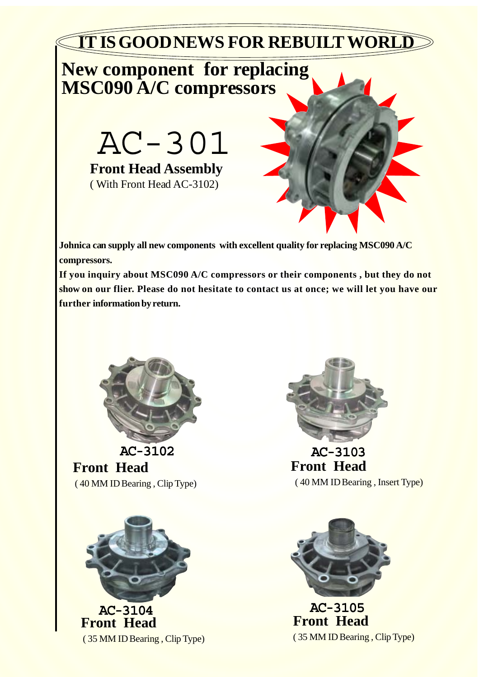

## **New component for replacing MSC090 A/C compressors**

AC-301 **Front Head Assembly** ( With Front Head AC-3102)



**Johnica can supply all new components with excellent quality for replacing MSC090 A/C compressors.**

**If you inquiry about MSC090 A/C compressors or their components , but they do not show on our flier. Please do not hesitate to contact us at once; we will let you have our further information by return.**



**Front Head** ( 40 MM ID Bearing , Clip Type) AC-3102





AC-3103 **Front Head** ( 40 MM ID Bearing , Insert Type)



AC-3105 **Front Head** ( 35 MM ID Bearing , Clip Type)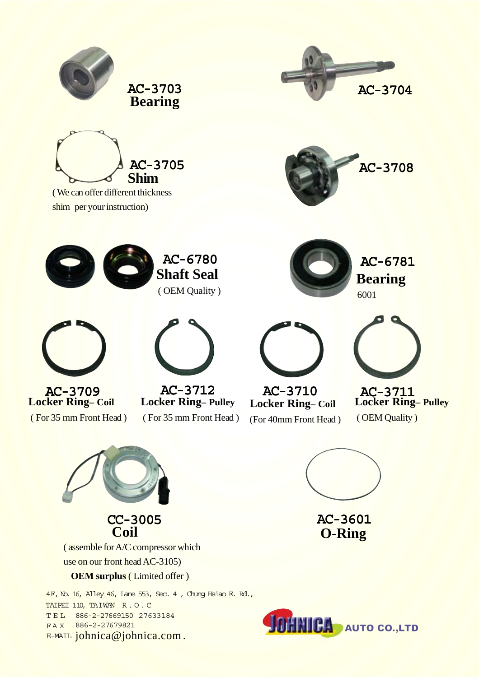